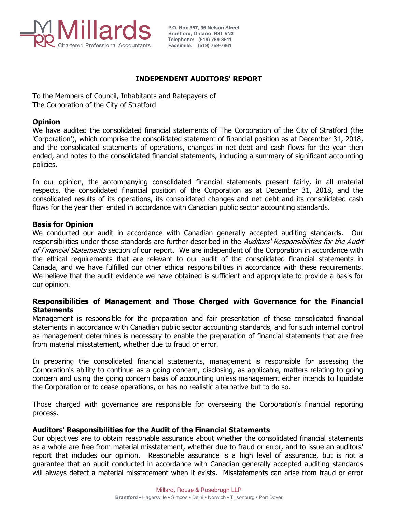

P.O. Box 367, 96 Nelson Street

# **INDEPENDENT AUDITORS' REPORT**

To the Members of Council, Inhabitants and Ratepayers of The Corporation of the City of Stratford

# **Opinion**

We have audited the consolidated financial statements of The Corporation of the City of Stratford (the 'Corporation'), which comprise the consolidated statement of financial position as at December 31, 2018, and the consolidated statements of operations, changes in net debt and cash flows for the year then ended, and notes to the consolidated financial statements, including a summary of significant accounting policies.

In our opinion, the accompanying consolidated financial statements present fairly, in all material respects, the consolidated financial position of the Corporation as at December 31, 2018, and the consolidated results of its operations, its consolidated changes and net debt and its consolidated cash flows for the year then ended in accordance with Canadian public sector accounting standards.

# **Basis for Opinion**

We conducted our audit in accordance with Canadian generally accepted auditing standards. Our responsibilities under those standards are further described in the Auditors' Responsibilities for the Audit of Financial Statements section of our report. We are independent of the Corporation in accordance with the ethical requirements that are relevant to our audit of the consolidated financial statements in Canada, and we have fulfilled our other ethical responsibilities in accordance with these requirements. We believe that the audit evidence we have obtained is sufficient and appropriate to provide a basis for our opinion.

# **Responsibilities of Management and Those Charged with Governance for the Financial Statements**

Management is responsible for the preparation and fair presentation of these consolidated financial statements in accordance with Canadian public sector accounting standards, and for such internal control as management determines is necessary to enable the preparation of financial statements that are free from material misstatement, whether due to fraud or error.

In preparing the consolidated financial statements, management is responsible for assessing the Corporation's ability to continue as a going concern, disclosing, as applicable, matters relating to going concern and using the going concern basis of accounting unless management either intends to liquidate the Corporation or to cease operations, or has no realistic alternative but to do so.

Those charged with governance are responsible for overseeing the Corporation's financial reporting process.

# **Auditors' Responsibilities for the Audit of the Financial Statements**

Our objectives are to obtain reasonable assurance about whether the consolidated financial statements as a whole are free from material misstatement, whether due to fraud or error, and to issue an auditors' report that includes our opinion. Reasonable assurance is a high level of assurance, but is not a guarantee that an audit conducted in accordance with Canadian generally accepted auditing standards will always detect a material misstatement when it exists. Misstatements can arise from fraud or error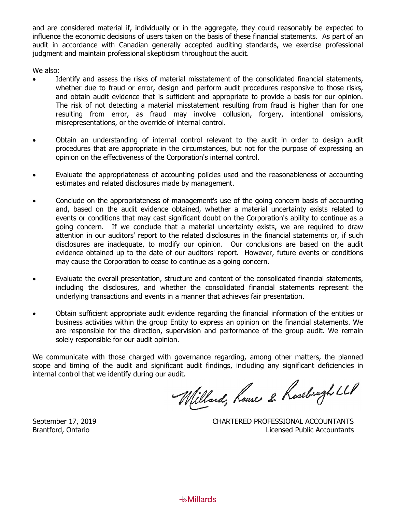and are considered material if, individually or in the aggregate, they could reasonably be expected to influence the economic decisions of users taken on the basis of these financial statements. As part of an audit in accordance with Canadian generally accepted auditing standards, we exercise professional judgment and maintain professional skepticism throughout the audit.

We also:

- Identify and assess the risks of material misstatement of the consolidated financial statements, whether due to fraud or error, design and perform audit procedures responsive to those risks, and obtain audit evidence that is sufficient and appropriate to provide a basis for our opinion. The risk of not detecting a material misstatement resulting from fraud is higher than for one resulting from error, as fraud may involve collusion, forgery, intentional omissions, misrepresentations, or the override of internal control.
- Obtain an understanding of internal control relevant to the audit in order to design audit procedures that are appropriate in the circumstances, but not for the purpose of expressing an opinion on the effectiveness of the Corporation's internal control.
- Evaluate the appropriateness of accounting policies used and the reasonableness of accounting estimates and related disclosures made by management.
- Conclude on the appropriateness of management's use of the going concern basis of accounting and, based on the audit evidence obtained, whether a material uncertainty exists related to events or conditions that may cast significant doubt on the Corporation's ability to continue as a going concern. If we conclude that a material uncertainty exists, we are required to draw attention in our auditors' report to the related disclosures in the financial statements or, if such disclosures are inadequate, to modify our opinion. Our conclusions are based on the audit evidence obtained up to the date of our auditors' report. However, future events or conditions may cause the Corporation to cease to continue as a going concern.
- Evaluate the overall presentation, structure and content of the consolidated financial statements, including the disclosures, and whether the consolidated financial statements represent the underlying transactions and events in a manner that achieves fair presentation.
- Obtain sufficient appropriate audit evidence regarding the financial information of the entities or business activities within the group Entity to express an opinion on the financial statements. We are responsible for the direction, supervision and performance of the group audit. We remain solely responsible for our audit opinion.

We communicate with those charged with governance regarding, among other matters, the planned scope and timing of the audit and significant audit findings, including any significant deficiencies in internal control that we identify during our audit.

Willard, house 2 Rosebragh LLP

September 17, 2019 CHARTERED PROFESSIONAL ACCOUNTANTS Brantford, Ontario **Licensed Public Accountants** 

 $-\%$ Millards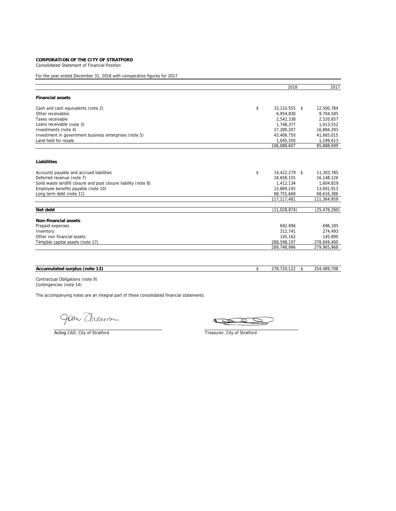Consolidated Statement of Financial Position

For the year ended December 31, 2018 with comparative figures for 2017

|                                                                  | 2018                    | 2017           |
|------------------------------------------------------------------|-------------------------|----------------|
| <b>Financial assets</b>                                          |                         |                |
| Cash and cash equivalents (note 2)                               | \$<br>33.110.555<br>\$  | 12,500,784     |
| Other receivables                                                | 6,954,830               | 9,704,585      |
| Taxes receivable                                                 | 2,542,338               | 2,520,857      |
| Loans receivable (note 3)                                        | 1,748,377               | 1,413,552      |
| Investments (note 4)                                             | 17,280,207              | 16,884,293     |
| Investment in government business enterprises (note 5)           | 43,406,750              | 41,665,015     |
| Land held for resale                                             | 1,045,550               | 1,199,613      |
|                                                                  | 106,088,607             | 85,888,699     |
| <b>Liabilities</b>                                               |                         |                |
| Accounts payable and accrued liabilities                         | \$<br>14.422.279 \$     | 11,303,785     |
| Deferred revenue (note 7)                                        | 18,658,155              | 16,148,126     |
| Solid waste landfill closure and post closure liability (note 8) | 1,412,134               | 1,604,829      |
| Employee benefits payable (note 10)                              | 13.869.245              | 13,691,913     |
| Long term debt (note 11)                                         | 68,755,668              | 68,616,306     |
|                                                                  | 117, 117, 481           | 111,364,959    |
| Net debt                                                         | (11,028,874)            | (25, 476, 260) |
| <b>Non-financial assets</b>                                      |                         |                |
| Prepaid expenses                                                 | 692,896                 | 696,185        |
| Inventory                                                        | 312,741                 | 274,493        |
| Other non financial assets                                       | 145.162                 | 145,890        |
| Tangible capital assets (note 17)                                | 288,598,197             | 278,849,400    |
|                                                                  | 289,748,996             | 279,965,968    |
|                                                                  |                         |                |
| Accumulated surplus (note 13)                                    | \$<br>278,720,122<br>\$ | 254,489,708    |

Contractual Obligations (note 9) Contingencies (note 14)

Joan Cheman

Acting CAO, City of Stratford Treasurer, City of Stratford

 $\mathbb{Z}$  $\sqrt{2}$  $\Delta$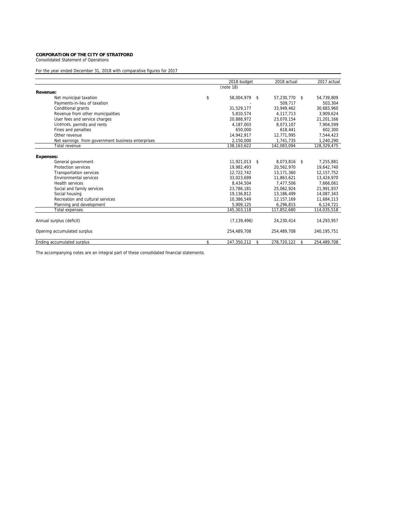Consolidated Statement of Operations

For the year ended December 31, 2018 with comparative figures for 2017

|                                                   | 2018 budget             | 2018 actual        | 2017 actual  |
|---------------------------------------------------|-------------------------|--------------------|--------------|
|                                                   | (note 18)               |                    |              |
| Revenue:                                          |                         |                    |              |
| Net municipal taxation                            | \$<br>58,004,979<br>-\$ | 57,230,770<br>- \$ | 54,739,809   |
| Payments-in-lieu of taxation                      |                         | 509,717            | 503,304      |
| Conditional grants                                | 31,529,177              | 33.949.462         | 30,683,960   |
| Revenue from other municipalities                 | 5.810.574               | 4,117,713          | 3,909,624    |
| User fees and service charges                     | 20,888,972              | 23,070,154         | 21,201,166   |
| Licences, permits and rents                       | 4,187,003               | 8,073,107          | 7,904,599    |
| Fines and penalties                               | 650.000                 | 618.441            | 602,300      |
| Other revenue                                     | 14.942.917              | 12,771,995         | 7,544,423    |
| Net earnings from government business enterprises | 2.150.000               | 1,741,735          | 1,240,290    |
| Total revenue                                     | 138, 163, 622           | 142,083,094        | 128,329,475  |
|                                                   |                         |                    |              |
| <b>Expenses:</b>                                  |                         |                    |              |
| General government                                | 11,921,013<br>\$        | 8,073,816 \$       | 7,255,881    |
| Protection services                               | 19.982.493              | 20.562.970         | 19,642,740   |
| <b>Transportation services</b>                    | 12,722,742              | 13,171,360         | 12, 157, 752 |
| <b>Environmental services</b>                     | 33,023,699              | 11,863,621         | 13,424,970   |
| <b>Health services</b>                            | 8,434,504               | 7,477,506          | 7,666,061    |
| Social and family services                        | 23,786,181              | 25,062,924         | 21,991,937   |
| Social housing                                    | 19.136.812              | 13.186.499         | 14,087,343   |
| Recreation and cultural services                  | 10,386,549              | 12, 157, 169       | 11,684,113   |
| Planning and development                          | 5.909.125               | 6,296,815          | 6,124,721    |
| Total expenses                                    | 145,303,118             | 117,852,680        | 114,035,518  |
| Annual surplus (deficit)                          | (7, 139, 496)           | 24,230,414         | 14,293,957   |
| Opening accumulated surplus                       | 254,489,708             | 254,489,708        | 240,195,751  |
| Ending accumulated surplus                        | \$<br>247,350,212<br>\$ | 278,720,122<br>\$  | 254,489,708  |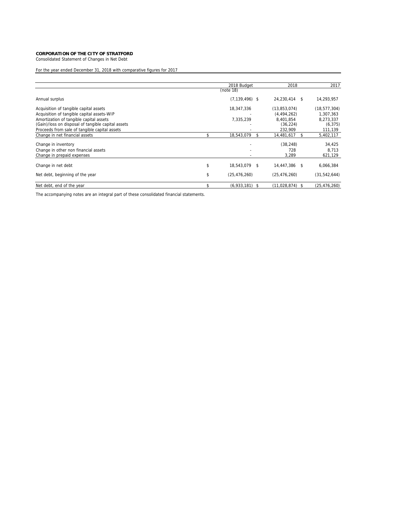Consolidated Statement of Changes in Net Debt

For the year ended December 31, 2018 with comparative figures for 2017

|                                                                                               |     | 2018 Budget        | 2018                          |    | 2017                        |
|-----------------------------------------------------------------------------------------------|-----|--------------------|-------------------------------|----|-----------------------------|
|                                                                                               |     | (note 18)          |                               |    |                             |
| Annual surplus                                                                                |     | $(7, 139, 496)$ \$ | 24,230,414                    | Ŝ. | 14,293,957                  |
| Acquisition of tangible capital assets<br>Acquisition of tangible capital assets-WIP          |     | 18,347,336         | (13,853,074)<br>(4, 494, 262) |    | (18, 577, 304)<br>1,307,363 |
| Amortization of tangible capital assets<br>(Gain)/loss on disposal of tangible capital assets |     | 7,335,239          | 8.401.854<br>(36, 224)        |    | 8,273,337<br>(6, 375)       |
| Proceeds from sale of tangible capital assets                                                 |     |                    | 232.909                       |    | 111,139                     |
| Change in net financial assets                                                                | \$. | 18,543,079         | \$<br>14,481,617              | \$ | 5,402,117                   |
| Change in inventory<br>Change in other non financial assets                                   |     |                    | (38, 248)<br>728              |    | 34,425<br>8.713             |
| Change in prepaid expenses                                                                    |     |                    | 3,289                         |    | 621,129                     |
| Change in net debt                                                                            | \$  | 18,543,079 \$      | 14,447,386                    | -S | 6,066,384                   |
| Net debt, beginning of the year                                                               | \$  | (25, 476, 260)     | (25, 476, 260)                |    | (31, 542, 644)              |
| Net debt, end of the year                                                                     |     | $(6,933,181)$ \$   | (11,028,874)                  | S  | (25, 476, 260)              |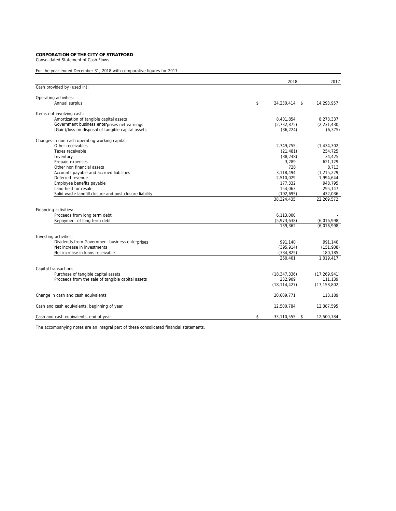Consolidated Statement of Cash Flows

For the year ended December 31, 2018 with comparative figures for 2017

|                                                         | 2018                   | 2017           |
|---------------------------------------------------------|------------------------|----------------|
| Cash provided by (used in):                             |                        |                |
| Operating activities:                                   |                        |                |
| Annual surplus                                          | \$<br>24,230,414 \$    | 14,293,957     |
| Items not involving cash:                               |                        |                |
| Amortization of tangible capital assets                 | 8,401,854              | 8,273,337      |
| Government business enterprises net earnings            | (2,732,875)            | (2, 231, 430)  |
| (Gain)/loss on disposal of tangible capital assets      | (36, 224)              | (6, 375)       |
| Changes in non-cash operating working capital:          |                        |                |
| Other receivables                                       | 2,749,755              | (1,434,302)    |
| Taxes receivable                                        | (21, 481)              | 254,725        |
| Inventory                                               | (38, 248)              | 34,425         |
| Prepaid expenses                                        | 3,289                  | 621,129        |
| Other non financial assets                              | 728                    | 8,713          |
| Accounts payable and accrued liabilities                | 3.118.494              | (1, 215, 229)  |
| Deferred revenue                                        | 2,510,029              | 1,994,644      |
| Employee benefits payable                               | 177,332                | 948,795        |
| Land held for resale                                    | 154,063                | 295,147        |
| Solid waste landfill closure and post closure liability | (192, 695)             | 432,036        |
|                                                         | 38,324,435             | 22,269,572     |
| Financing activities:                                   |                        |                |
| Proceeds from long term debt                            | 6.113.000              |                |
| Repayment of long term debt                             | (5,973,638)            | (6,016,998)    |
|                                                         | 139,362                | (6,016,998)    |
| Investing activities:                                   |                        |                |
| Dividends from Government business enterprises          | 991,140                | 991,140        |
| Net increase in investments                             | (395, 914)             | (151,908)      |
| Net increase in loans receivable                        | (334, 825)             | 180,185        |
|                                                         | 260.401                | 1,019,417      |
| Capital transactions                                    |                        |                |
| Purchase of tangible capital assets                     | (18, 347, 336)         | (17, 269, 941) |
| Proceeds from the sale of tangible capital assets       | 232,909                | 111,139        |
|                                                         | (18, 114, 427)         | (17, 158, 802) |
| Change in cash and cash equivalents                     | 20,609,771             | 113,189        |
| Cash and cash equivalents, beginning of year            | 12,500,784             | 12,387,595     |
| Cash and cash equivalents, end of year                  | \$<br>33,110,555<br>\$ | 12,500,784     |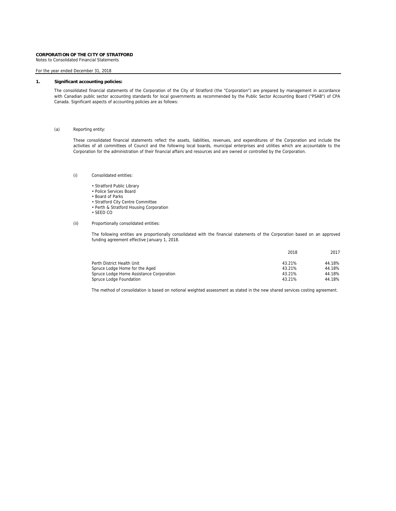For the year ended December 31, 2018

### **1. Significant accounting policies:**

The consolidated financial statements of the Corporation of the City of Stratford (the "Corporation") are prepared by management in accordance with Canadian public sector accounting standards for local governments as recommended by the Public Sector Accounting Board ("PSAB") of CPA Canada. Significant aspects of accounting policies are as follows:

### (a) Reporting entity:

These consolidated financial statements reflect the assets, liabilities, revenues, and expenditures of the Corporation and include the activities of all committees of Council and the following local boards, municipal enterprises and utilities which are accountable to the Corporation for the administration of their financial affairs and resources and are owned or controlled by the Corporation.

- (i) Consolidated entities:
	- Stratford Public Library
	- Police Services Board
	- Board of Parks
	- Stratford City Centre Committee
	- Perth & Stratford Housing Corporation
	- SEED CO
- (ii) Proportionally consolidated entities:

The following entities are proportionally consolidated with the financial statements of the Corporation based on an approved funding agreement effective January 1, 2018.

|                                          | 2018   | 2017   |
|------------------------------------------|--------|--------|
| Perth District Health Unit               | 43.21% | 44.18% |
| Spruce Lodge Home for the Aged           | 43.21% | 44.18% |
| Spruce Lodge Home Assistance Corporation | 43.21% | 44.18% |
| Spruce Lodge Foundation                  | 43.21% | 44.18% |

The method of consolidation is based on notional weighted assessment as stated in the new shared services costing agreement.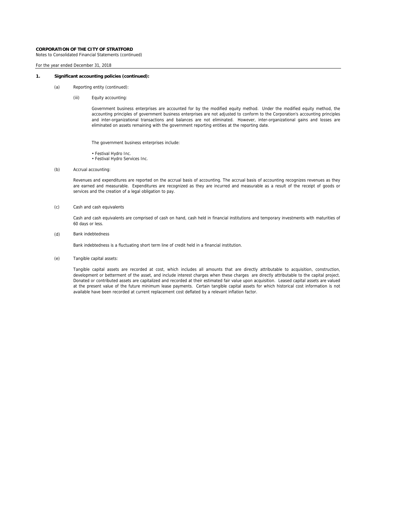Notes to Consolidated Financial Statements (continued)

For the year ended December 31, 2018

#### **1. Significant accounting policies (continued):**

- (a) Reporting entity (continued):
	- (iii) Equity accounting:

Government business enterprises are accounted for by the modified equity method. Under the modified equity method, the accounting principles of government business enterprises are not adjusted to conform to the Corporation's accounting principles and inter-organizational transactions and balances are not eliminated. However, inter-organizational gains and losses are eliminated on assets remaining with the government reporting entities at the reporting date.

The government business enterprises include:

- Festival Hydro Inc.
- Festival Hydro Services Inc.
- (b) Accrual accounting:

Revenues and expenditures are reported on the accrual basis of accounting. The accrual basis of accounting recognizes revenues as they are earned and measurable. Expenditures are recognized as they are incurred and measurable as a result of the receipt of goods or services and the creation of a legal obligation to pay.

(c) Cash and cash equivalents

Cash and cash equivalents are comprised of cash on hand, cash held in financial institutions and temporary investments with maturities of 60 days or less.

(d) Bank indebtedness

Bank indebtedness is a fluctuating short term line of credit held in a financial institution.

(e) Tangible capital assets:

Tangible capital assets are recorded at cost, which includes all amounts that are directly attributable to acquisition, construction, development or betterment of the asset, and include interest charges when these charges are directly attributable to the capital project. Donated or contributed assets are capitalized and recorded at their estimated fair value upon acquisition. Leased capital assets are valued at the present value of the future minimum lease payments. Certain tangible capital assets for which historical cost information is not available have been recorded at current replacement cost deflated by a relevant inflation factor.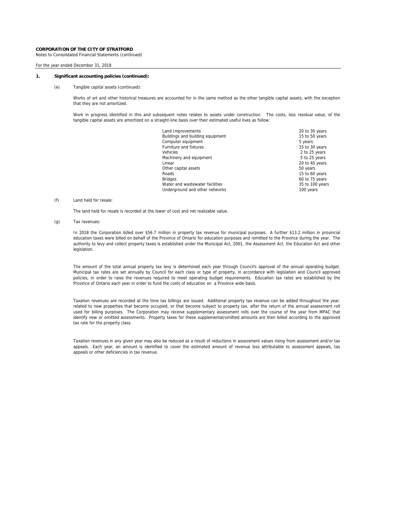Notes to Consolidated Financial Statements (continued)

For the year ended December 31, 2018

#### **1. Significant accounting policies (continued):**

(e) Tangible capital assets (continued):

Works of art and other historical treasures are accounted for in the same method as the other tangible capital assets, with the exception that they are not amortized.

Work in progress identified in this and subsequent notes relates to assets under construction. The costs, less residual value, of the tangible capital assets are amortized on a straight-line basis over their estimated useful lives as follow:

| Land Improvements                | 20 to 30 years  |
|----------------------------------|-----------------|
| Buildings and building equipment | 15 to 50 years  |
| Computer equipment               | 5 years         |
| Furniture and fixtures           | 15 to 30 years  |
| Vehicles                         | 2 to 25 years   |
| Machinery and equipment          | 5 to 25 years   |
| Linear                           | 20 to 40 years  |
| Other capital assets             | 50 years        |
| Roads                            | 15 to 60 years  |
| <b>Bridges</b>                   | 60 to 75 years  |
| Water and wastewater facilities  | 35 to 100 years |
| Underground and other networks   | 100 years       |

### (f) Land held for resale:

The land held for resale is recorded at the lower of cost and net realizable value.

(g) Tax revenues:

In 2018 the Corporation billed over \$56.7 million in property tax revenue for municipal purposes. A further \$13.2 million in provincial education taxes were billed on behalf of the Province of Ontario for education purposes and remitted to the Province during the year. The authority to levy and collect property taxes is established under the Municipal Act, 2001, the Assessment Act, the Education Act and other legislation.

The amount of the total annual property tax levy is determined each year through Council's approval of the annual operating budget. Municipal tax rates are set annually by Council for each class or type of property, in accordance with legislation and Council approved policies, in order to raise the revenues required to meet operating budget requirements. Education tax rates are established by the Province of Ontario each year in order to fund the costs of education on a Province wide basis.

Taxation revenues are recorded at the time tax billings are issued. Additional property tax revenue can be added throughout the year, related to new properties that become occupied, or that become subject to property tax, after the return of the annual assessment roll used for billing purposes. The Corporation may receive supplementary assessment rolls over the course of the year from MPAC that identify new or omitted assessments. Property taxes for these supplemental/omitted amounts are then billed according to the approved tax rate for the property class.

Taxation revenues in any given year may also be reduced as a result of reductions in assessment values rising from assessment and/or tax appeals. Each year, an amount is identified to cover the estimated amount of revenue loss attributable to assessment appeals, tax appeals or other deficiencies in tax revenue.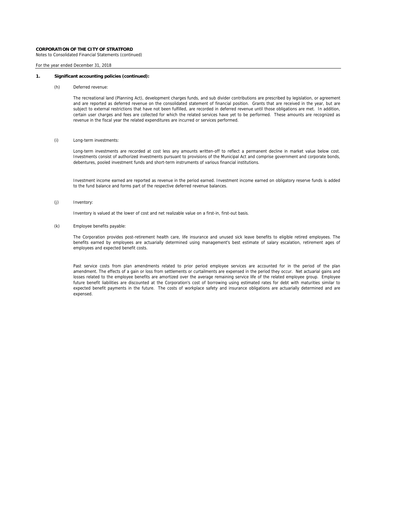Notes to Consolidated Financial Statements (continued)

For the year ended December 31, 2018

#### **1. Significant accounting policies (continued):**

(h) Deferred revenue:

The recreational land (Planning Act), development charges funds, and sub divider contributions are prescribed by legislation, or agreement and are reported as deferred revenue on the consolidated statement of financial position. Grants that are received in the year, but are subject to external restrictions that have not been fulfilled, are recorded in deferred revenue until those obligations are met. In addition, certain user charges and fees are collected for which the related services have yet to be performed. These amounts are recognized as revenue in the fiscal year the related expenditures are incurred or services performed.

#### (i) Long-term investments:

Long-term investments are recorded at cost less any amounts written-off to reflect a permanent decline in market value below cost. Investments consist of authorized investments pursuant to provisions of the Municipal Act and comprise government and corporate bonds, debentures, pooled investment funds and short-term instruments of various financial institutions.

Investment income earned are reported as revenue in the period earned. Investment income earned on obligatory reserve funds is added to the fund balance and forms part of the respective deferred revenue balances.

#### (j) Inventory:

Inventory is valued at the lower of cost and net realizable value on a first-in, first-out basis.

(k) Employee benefits payable:

The Corporation provides post-retirement health care, life insurance and unused sick leave benefits to eligible retired employees. The benefits earned by employees are actuarially determined using management's best estimate of salary escalation, retirement ages of employees and expected benefit costs.

Past service costs from plan amendments related to prior period employee services are accounted for in the period of the plan amendment. The effects of a gain or loss from settlements or curtailments are expensed in the period they occur. Net actuarial gains and losses related to the employee benefits are amortized over the average remaining service life of the related employee group. Employee future benefit liabilities are discounted at the Corporation's cost of borrowing using estimated rates for debt with maturities similar to expected benefit payments in the future. The costs of workplace safety and insurance obligations are actuarially determined and are expensed.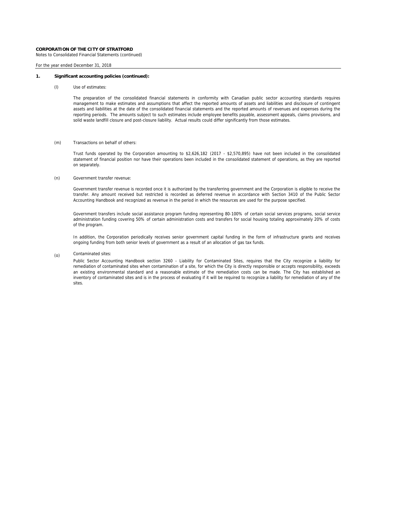Notes to Consolidated Financial Statements (continued)

For the year ended December 31, 2018

#### **1. Significant accounting policies (continued):**

(l) Use of estimates:

The preparation of the consolidated financial statements in conformity with Canadian public sector accounting standards requires management to make estimates and assumptions that affect the reported amounts of assets and liabilities and disclosure of contingent assets and liabilities at the date of the consolidated financial statements and the reported amounts of revenues and expenses during the reporting periods. The amounts subject to such estimates include employee benefits payable, assessment appeals, claims provisions, and solid waste landfill closure and post-closure liability. Actual results could differ significantly from those estimates.

#### (m) Transactions on behalf of others:

Trust funds operated by the Corporation amounting to \$2,626,182 (2017 - \$2,570,895) have not been included in the consolidated statement of financial position nor have their operations been included in the consolidated statement of operations, as they are reported on separately.

#### (n) Government transfer revenue:

Government transfer revenue is recorded once it is authorized by the transferring government and the Corporation is eligible to receive the transfer. Any amount received but restricted is recorded as deferred revenue in accordance with Section 3410 of the Public Sector Accounting Handbook and recognized as revenue in the period in which the resources are used for the purpose specified.

Government transfers include social assistance program funding representing 80-100% of certain social services programs, social service administration funding covering 50% of certain administration costs and transfers for social housing totaling approximately 20% of costs of the program.

In addition, the Corporation periodically receives senior government capital funding in the form of infrastructure grants and receives ongoing funding from both senior levels of government as a result of an allocation of gas tax funds.

#### (o) Contaminated sites:

Public Sector Accounting Handbook section 3260 - Liability for Contaminated Sites, requires that the City recognize a liability for remediation of contaminated sites when contamination of a site, for which the City is directly responsible or accepts responsibility, exceeds an existing environmental standard and a reasonable estimate of the remediation costs can be made. The City has established an inventory of contaminated sites and is in the process of evaluating if it will be required to recognize a liability for remediation of any of the sites.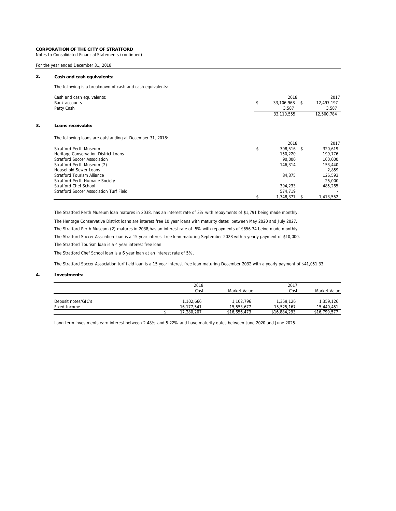Notes to Consolidated Financial Statements (continued)

# For the year ended December 31, 2018

#### **2. Cash and cash equivalents:**

The following is a breakdown of cash and cash equivalents:

| Cash and cash equivalents: | 2018       | 2017       |
|----------------------------|------------|------------|
| Bank accounts              | 33.106.968 | 12.497.197 |
| Petty Cash                 | 3.587      | 3.587      |
|                            | 33.110.555 | 12.500.784 |

#### **3. Loans receivable:**

The following loans are outstanding at December 31, 2018:

|                                         | 2018       | 2017      |
|-----------------------------------------|------------|-----------|
| Stratford Perth Museum                  | 308.516 \$ | 320.619   |
| Heritage Conservation District Loans    | 150.220    | 199.776   |
| <b>Stratford Soccer Association</b>     | 90.000     | 100.000   |
| Stratford Perth Museum (2)              | 146.314    | 153,440   |
| Household Sewer Loans                   |            | 2.859     |
| <b>Stratford Tourism Alliance</b>       | 84.375     | 126.593   |
| Stratford Perth Humane Society          |            | 25,000    |
| Stratford Chef School                   | 394.233    | 485.265   |
| Stratford Soccer Association Turf Field | 574.719    |           |
|                                         | 1.748.377  | 1.413.552 |

The Stratford Perth Museum loan matures in 2038, has an interest rate of 3% with repayments of \$1,791 being made monthly.

The Heritage Conservative District loans are interest free 10 year loans with maturity dates between May 2020 and July 2027. The Stratford Perth Museum (2) matures in 2038,has an interest rate of .5% with repayments of \$656.34 being made monthly.

The Stratford Soccer Assciation loan is a 15 year interest free loan maturing September 2028 with a yearly payment of \$10,000. The Stratford Tourism loan is a 4 year interest free loan.

The Stratford Chef School loan is a 6 year loan at an interest rate of 5%.

The Stratford Soccer Association turf field loan is a 15 year interest free loan maturing December 2032 with a yearly payment of \$41,051.33.

#### **4. Investments:**

|                     | 2018       |              | 2017         |              |
|---------------------|------------|--------------|--------------|--------------|
|                     | Cost       | Market Value | Cost         | Market Value |
|                     |            |              |              |              |
| Deposit notes/GIC's | 1.102.666  | 1.102.796    | 1.359.126    | 1.359.126    |
| Fixed Income        | 16.177.541 | 15.553.677   | 15.525.167   | 15,440,451   |
|                     | 17.280.207 | \$16,656,473 | \$16,884,293 | \$16,799,577 |

Long-term investments earn interest between 2.48% and 5.22% and have maturity dates between June 2020 and June 2025.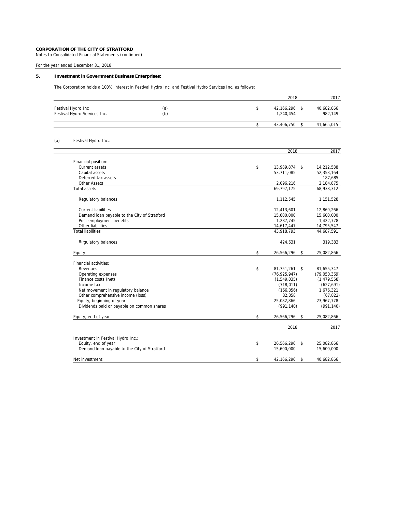Notes to Consolidated Financial Statements (continued)

## For the year ended December 31, 2018

### **5. Investment in Government Business Enterprises:**

The Corporation holds a 100% interest in Festival Hydro Inc. and Festival Hydro Services Inc. as follows:

|                                                                  | 2018                                | 2017                  |
|------------------------------------------------------------------|-------------------------------------|-----------------------|
| Festival Hydro Inc<br>(a)<br>Festival Hydro Services Inc.<br>(b) | \$<br>42,166,296<br>\$<br>1,240,454 | 40,682,866<br>982,149 |
|                                                                  | \$<br>43,406,750<br>\$              | 41,665,015            |
| (a)<br>Festival Hydro Inc.:                                      |                                     |                       |
|                                                                  | 2018                                | 2017                  |
| Financial position:                                              |                                     |                       |
| Current assets                                                   | \$<br>13,989,874<br>\$              | 14,212,588            |
| Capital assets                                                   | 53,711,085                          | 52,353,164            |
| Deferred tax assets                                              |                                     | 187,685               |
| Other Assets                                                     | 2,096,216                           | 2,184,875             |
| <b>Total assets</b>                                              | 69,797,175                          | 68,938,312            |
| Regulatory balances                                              | 1,112,545                           | 1,151,528             |
| <b>Current liabilities</b>                                       | 12,413,601                          | 12,869,266            |
| Demand loan payable to the City of Stratford                     | 15,600,000                          | 15,600,000            |
| Post-employment benefits                                         | 1,287,745                           | 1,422,778             |
| Other liabilities                                                | 14,617,447                          | 14,795,547            |
| <b>Total liabilities</b>                                         | 43.918.793                          | 44,687,591            |
| Regulatory balances                                              | 424,631                             | 319,383               |
| Equity                                                           | \$<br>26,566,296<br>\$              | 25,082,866            |
| Financial activities:                                            |                                     |                       |
| Revenues                                                         | \$<br>81,751,261 \$                 | 81,655,347            |
| Operating expenses                                               | (76, 925, 947)                      | (79,050,369)          |
| Finance costs (net)                                              | (1,549,035)                         | (1, 479, 558)         |
| Income tax                                                       | (718, 011)                          | (627, 691)            |
| Net movement in regulatory balance                               | (166, 056)                          | 1,676,321             |
| Other comprehensive income (loss)                                | 82,358                              | (67, 822)             |
| Equity, beginning of year                                        | 25,082,866                          | 23,967,778            |
| Dividends paid or payable on common shares                       | (991, 140)                          | (991, 140)            |
| Equity, end of year                                              | \$<br>26,566,296<br>\$              | 25,082,866            |
|                                                                  | 2018                                | 2017                  |
| Investment in Festival Hydro Inc.:                               |                                     |                       |
| Equity, end of year                                              | \$<br>26,566,296<br>\$              | 25,082,866            |
| Demand loan payable to the City of Stratford                     | 15,600,000                          | 15,600,000            |
| Net investment                                                   | \$<br>42,166,296<br>\$              | 40,682,866            |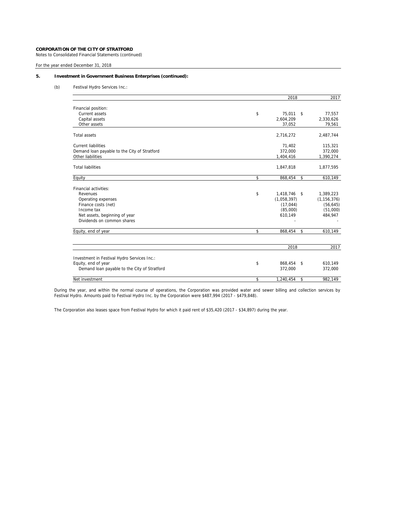Notes to Consolidated Financial Statements (continued)

For the year ended December 31, 2018

### **5. Investment in Government Business Enterprises (continued):**

(b) Festival Hydro Services Inc.:

|                                              | 2018               |            | 2017          |
|----------------------------------------------|--------------------|------------|---------------|
| Financial position:                          |                    |            |               |
| Current assets                               | \$<br>75,011 \$    |            | 77,557        |
| Capital assets                               | 2,604,209          |            | 2,330,626     |
| Other assets                                 | 37,052             |            | 79,561        |
| <b>Total assets</b>                          | 2,716,272          |            | 2,487,744     |
| <b>Current liabilities</b>                   | 71,402             |            | 115,321       |
| Demand loan payable to the City of Stratford | 372,000            |            | 372,000       |
| Other liabilities                            | 1,404,416          |            | 1,390,274     |
| <b>Total liabilities</b>                     | 1,847,818          |            | 1,877,595     |
| Equity                                       | \$<br>868,454      | \$         | 610,149       |
| Financial activities:                        |                    |            |               |
| Revenues                                     | \$<br>1,418,746 \$ |            | 1,389,223     |
| Operating expenses                           | (1,058,397)        |            | (1, 156, 376) |
| Finance costs (net)                          | (17, 044)          |            | (56, 645)     |
| Income tax                                   | (85,000)           |            | (51,000)      |
| Net assets, beginning of year                | 610,149            |            | 484,947       |
| Dividends on common shares                   |                    |            |               |
| Equity, end of year                          | \$<br>868,454      | $\sqrt{5}$ | 610,149       |
|                                              |                    |            |               |
|                                              | 2018               |            | 2017          |
| Investment in Festival Hydro Services Inc.:  |                    |            |               |
| Equity, end of year                          | \$<br>868,454 \$   |            | 610,149       |
| Demand loan payable to the City of Stratford | 372,000            |            | 372,000       |
| Net investment                               | \$<br>1,240,454    | \$         | 982,149       |

During the year, and within the normal course of operations, the Corporation was provided water and sewer billing and collection services by Festival Hydro. Amounts paid to Festival Hydro Inc. by the Corporation were \$487,994 (2017 - \$479,848).

The Corporation also leases space from Festival Hydro for which it paid rent of \$35,420 (2017 - \$34,897) during the year.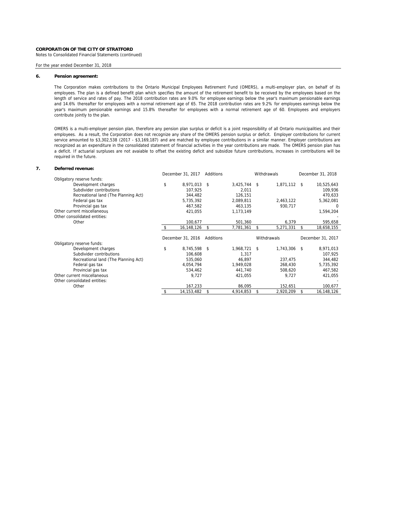Notes to Consolidated Financial Statements (continued)

### For the year ended December 31, 2018

#### **6. Pension agreement:**

The Corporation makes contributions to the Ontario Municipal Employees Retirement Fund (OMERS), a multi-employer plan, on behalf of its employees. The plan is a defined benefit plan which specifies the amount of the retirement benefit to be received by the employees based on the length of service and rates of pay. The 2018 contribution rates are 9.0% for employee earnings below the year's maximum pensionable earnings and 14.6% thereafter for employees with a normal retirement age of 65. The 2018 contribution rates are 9.2% for employees earnings below the year's maximum pensionable earnings and 15.8% thereafter for employees with a normal retirement age of 60. Employees and employers contribute jointly to the plan.

OMERS is a multi-employer pension plan, therefore any pension plan surplus or deficit is a joint responsibility of all Ontario municipalities and their employees. As a result, the Corporation does not recognize any share of the OMERS pension surplus or deficit. Employer contributions for current service amounted to \$3,302,538 (2017 - \$3,169,187) and are matched by employee contributions in a similar manner. Employer contributions are recognized as an expenditure in the consolidated statement of financial activities in the year contributions are made. The OMERS pension plan has a deficit. If actuarial surpluses are not avaiable to offset the existing deficit and subsidize future contributions, increases in contributions will be required in the future.

#### **7. Deferred revenue:**

|                                      | December 31, 2017  | Additions |           | Withdrawals |              | December 31, 2018 |
|--------------------------------------|--------------------|-----------|-----------|-------------|--------------|-------------------|
| Obligatory reserve funds:            |                    |           |           |             |              |                   |
| Development charges                  | \$<br>8,971,013 \$ |           | 3,425,744 | \$          | 1,871,112 \$ | 10,525,643        |
| Subdivider contributions             | 107.925            |           | 2,011     |             |              | 109,936           |
| Recreational land (The Planning Act) | 344,482            |           | 126,151   |             |              | 470,633           |
| Federal gas tax                      | 5,735,392          |           | 2,089,811 |             | 2,463,122    | 5,362,081         |
| Provincial gas tax                   | 467,582            |           | 463,135   |             | 930,717      | $\Omega$          |
| Other current miscellaneous          | 421,055            |           | 1,173,149 |             |              | 1,594,204         |
| Other consolidated entities:         |                    |           |           |             |              |                   |
| Other                                | 100.677            |           | 501,360   |             | 6.379        | 595,658           |
|                                      | 16,148,126         | \$        | 7,781,361 |             | 5,271,331    | 18,658,155        |
|                                      |                    |           |           |             |              |                   |
|                                      |                    |           |           |             |              |                   |
|                                      | December 31, 2016  | Additions |           |             | Withdrawals  | December 31, 2017 |
| Obligatory reserve funds:            |                    |           |           |             |              |                   |
| Development charges                  | \$<br>8,745,598    | \$        | 1,968,721 | \$          | 1,743,306 \$ | 8,971,013         |
| Subdivider contributions             | 106,608            |           | 1,317     |             |              | 107,925           |
| Recreational land (The Planning Act) | 535,060            |           | 46,897    |             | 237,475      | 344,482           |
| Federal gas tax                      | 4,054,794          |           | 1,949,028 |             | 268,430      | 5,735,392         |
| Provincial gas tax                   | 534,462            |           | 441,740   |             | 508,620      | 467,582           |
| Other current miscellaneous          | 9,727              |           | 421,055   |             | 9,727        | 421,055           |
| Other consolidated entities:         |                    |           |           |             |              |                   |
| Other                                | 167,233            |           | 86,095    |             | 152,651      | 100,677           |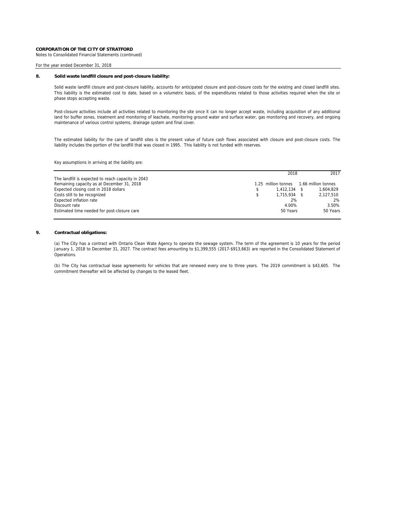Notes to Consolidated Financial Statements (continued)

### For the year ended December 31, 2018

#### **8. Solid waste landfill closure and post-closure liability:**

Solid waste landfill closure and post-closure liability, accounts for anticipated closure and post-closure costs for the existing and closed landfill sites. This liability is the estimated cost to date, based on a volumetric basis, of the expenditures related to those activities required when the site or phase stops accepting waste.

Post-closure activities include all activities related to monitoring the site once it can no longer accept waste, including acquisition of any additional land for buffer zones, treatment and monitoring of leachate, monitoring ground water and surface water, gas monitoring and recovery, and ongoing maintenance of various control systems, drainage system and final cover.

The estimated liability for the care of landfill sites is the present value of future cash flows associated with closure and post-closure costs. The liability includes the portion of the landfill that was closed in 1995. This liability is not funded with reserves.

Key assumptions in arriving at the liability are:

|                                                    | 2018                | 2017                |
|----------------------------------------------------|---------------------|---------------------|
| The landfill is expected to reach capacity in 2043 |                     |                     |
| Remaining capacity as at December 31, 2018         | 1.25 million tonnes | 1.66 million tonnes |
| Expected closing cost in 2018 dollars              | 1.412.134           | 1.604.829           |
| Costs still to be recognized                       | $1.715.934$ \$      | 2.127.510           |
| Expected inflation rate                            | 2%                  | 2%                  |
| Discount rate                                      | 4.00%               | 3.50%               |
| Estimated time needed for post-closure care        | 50 Years            | 50 Years            |

#### **9. Contractual obligations:**

(a) The City has a contract with Ontario Clean Wate Agency to operate the sewage system. The term of the agreement is 10 years for the period January 1, 2018 to December 31, 2027. The contract fees amounting to \$1,399,555 (2017-\$913,663) are reported in the Consolidated Statement of Operations.

(b) The City has contractual lease agreements for vehicles that are renewed every one to three years. The 2019 commitment is \$43,605. The commitment thereafter will be affected by changes to the leased fleet.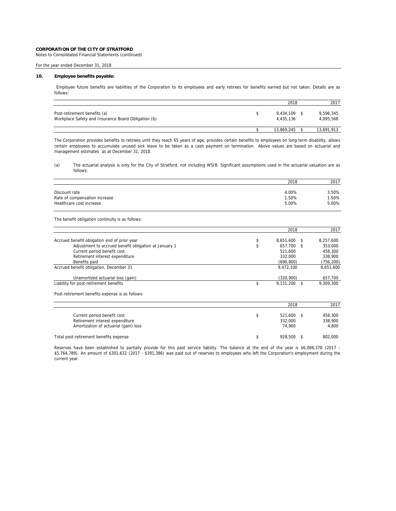Notes to Consolidated Financial Statements (continued)

# For the year ended December 31, 2018

#### **10. Employee benefits payable:**

Employee future benefits are liabilities of the Corporation to its employees and early retirees for benefits earned but not taken. Details are as follows:

|                                                                                     | 2018                   | 2017                   |
|-------------------------------------------------------------------------------------|------------------------|------------------------|
| Post-retirement benefits (a)<br>Workplace Safety and Insurance Board Obligation (b) | 9.434.109<br>4.435.136 | 9.596.345<br>4.095.568 |
|                                                                                     | 13.869.245             | 13,691,913             |

The Corporation provides benefits to retirees until they reach 65 years of age, provides certain benefits to employees on long-term disability, allows certain employees to accumulate unused sick leave to be taken as a cash payment on termination. Above values are based on actuarial and management estimates as at December 31, 2018.

#### (a) The actuarial analysis is only for the City of Stratford, not including WSIB. Significant assumptions used in the actuarial valuation are as follows:

|                               | 2018  | 2017  |
|-------------------------------|-------|-------|
|                               |       |       |
| Discount rate                 | 4.00% | 3.50% |
| Rate of compensation increase | 1.50% | 1.50% |
| Healthcare cost increase      | 5.00% | 5.00% |
|                               |       |       |

The benefit obligation continuity is as follows:

|                                                       | 2018         | 2017       |
|-------------------------------------------------------|--------------|------------|
| Accrued benefit obligation end of prior year          | 8.651.600 \$ | 8,257,600  |
| Adjustment to accrued benefit obligation at January 1 | 657.700 \$   | 353.000    |
| Current period benefit cost                           | 521.600      | 458,300    |
| Retirement interest expenditure                       | 332.000      | 338,900    |
| Benefits paid                                         | (690.800)    | (756, 200) |
| Accrued benefit obligation, December 31               | 9.472.100    | 8.651.600  |
| Unamortized actuarial loss (gain)                     | (320.900)    | 657.700    |
| Liability for post-retirement benefits                | 9.151.200 \$ | 9.309.300  |
| Post-retirement benefits expense is as follows:       |              |            |

|                                                                                                         | 2018                         | 2017                        |
|---------------------------------------------------------------------------------------------------------|------------------------------|-----------------------------|
| Current period benefit cost<br>Retirement interest expenditure<br>Amortization of actuarial (gain) loss | 521.600<br>332.000<br>74.900 | 458,300<br>338,900<br>4.800 |
| Total post-retirement benefits expense                                                                  | 928.500                      | 802.000                     |

Reserves have been established to partially provide for this past service liability. The balance at the end of the year is \$6,066,378 (2017 -\$5,764,789). An amount of \$301,632 (2017 - \$391,386) was paid out of reserves to employees who left the Corporation's employment during the current year.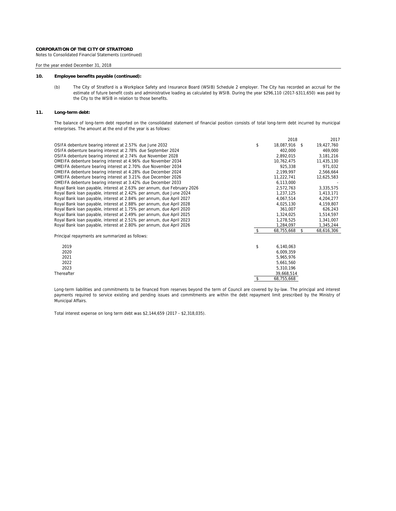Notes to Consolidated Financial Statements (continued)

For the year ended December 31, 2018

#### **10. Employee benefits payable (continued):**

(b) The City of Stratford is a Workplace Safety and Insurance Board (WSIB) Schedule 2 employer. The City has recorded an accrual for the estimate of future benefit costs and administrative loading as calculated by WSIB. During the year \$296,110 (2017-\$311,650) was paid by the City to the WSIB in relation to those benefits.

#### **11. Long-term debt:**

The balance of long-term debt reported on the consolidated statement of financial position consists of total long-term debt incurred by municipal enterprises. The amount at the end of the year is as follows:

|                                                                         | 2018                |                    | 2017       |
|-------------------------------------------------------------------------|---------------------|--------------------|------------|
| OSIFA debenture bearing interest at 2.57% due June 2032                 | \$<br>18,087,916 \$ |                    | 19,427,760 |
| OSIFA debenture bearing interest at 2.78% due September 2024            | 402,000             |                    | 469,000    |
| OSIFA debenture bearing interest at 2.74% due November 2028             | 2,892,015           |                    | 3,181,216  |
| OMEIFA debenture bearing interest at 4.96% due November 2034            | 10,762,475          |                    | 11,435,130 |
| OMEIFA debenture bearing interest at 2.70% due November 2034            | 925,338             |                    | 971,032    |
| OMEIFA debenture bearing interest at 4.28% due December 2024            | 2,199,997           |                    | 2,566,664  |
| OMEIFA debenture bearing interest at 3.21% due December 2026            | 11,222,741          |                    | 12,625,583 |
| OMEIFA debenture bearing interest at 3.42% due December 2033            | 6,113,000           |                    |            |
| Royal Bank loan payable, interest at 2.63% per annum, due February 2026 | 2,572,763           |                    | 3,335,575  |
| Royal Bank loan payable, interest at 2.42% per annum, due June 2024     | 1,237,125           |                    | 1,413,171  |
| Royal Bank Ioan payable, interest at 2.84% per annum, due April 2027    | 4.067.514           |                    | 4,204,277  |
| Royal Bank loan payable, interest at 2.88% per annum, due April 2028    | 4,025,130           |                    | 4,159,807  |
| Royal Bank Ioan payable, interest at 1.75% per annum, due April 2020    | 361,007             |                    | 626,243    |
| Royal Bank loan payable, interest at 2.49% per annum, due April 2025    | 1,324,025           |                    | 1,514,597  |
| Royal Bank Ioan payable, interest at 2.51% per annum, due April 2023    | 1,278,525           |                    | 1,341,007  |
| Royal Bank loan payable, interest at 2.80% per annum, due April 2026    | 1,284,097           |                    | 1,345,244  |
|                                                                         | 68,755,668          | $\mathbf{\hat{s}}$ | 68,616,306 |
| Principal repayments are summarized as follows:                         |                     |                    |            |
| 2019                                                                    | \$<br>6,140,063     |                    |            |
| 2020                                                                    | 6.009.359           |                    |            |
| 2021                                                                    | 5,965,976           |                    |            |
| 2022                                                                    | 5,661,560           |                    |            |
| 2023                                                                    | 5,310,196           |                    |            |
| Thereafter                                                              | 39,668,514          |                    |            |
|                                                                         | \$<br>68,755,668    |                    |            |

Long-term liabilities and commitments to be financed from reserves beyond the term of Council are covered by by-law. The principal and interest payments required to service existing and pending issues and commitments are within the debt repayment limit prescribed by the Ministry of Municipal Affairs.

Total interest expense on long term debt was \$2,144,659 (2017 - \$2,318,035).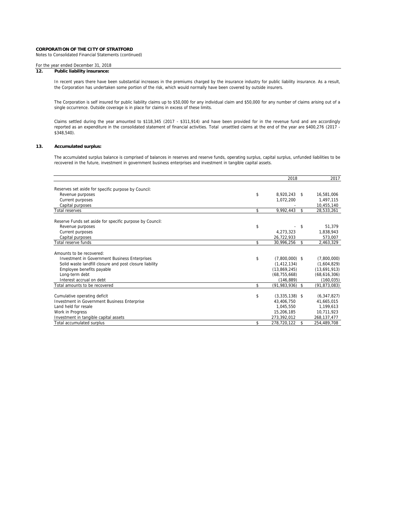Notes to Consolidated Financial Statements (continued)

#### For the year ended December 31, 2018

#### **12. Public liability insurance:**

In recent years there have been substantial increases in the premiums charged by the insurance industry for public liability insurance. As a result, the Corporation has undertaken some portion of the risk, which would normally have been covered by outside insurers.

The Corporation is self insured for public liability claims up to \$50,000 for any individual claim and \$50,000 for any number of claims arising out of a single occurrence. Outside coverage is in place for claims in excess of these limits.

Claims settled during the year amounted to \$118,345 (2017 - \$311,914) and have been provided for in the revenue fund and are accordingly reported as an expenditure in the consolidated statement of financial activities. Total unsettled claims at the end of the year are \$400,276 (2017 -\$348,540).

### **13. Accumulated surplus:**

The accumulated surplus balance is comprised of balances in reserves and reserve funds, operating surplus, capital surplus, unfunded liabilities to be recovered in the future, investment in government business enterprises and investment in tangible capital assets.

|                                                          |     | 2018                |     | 2017           |
|----------------------------------------------------------|-----|---------------------|-----|----------------|
| Reserves set aside for specific purpose by Council:      |     |                     |     |                |
| Revenue purposes                                         | \$  | 8.920.243 \$        |     | 16,581,006     |
| Current purposes                                         |     | 1,072,200           |     | 1,497,115      |
| Capital purposes                                         |     |                     |     | 10,455,140     |
| Total reserves                                           | \$  | 9,992,443           | -\$ | 28,533,261     |
| Reserve Funds set aside for specific purpose by Council: |     |                     |     |                |
| Revenue purposes                                         | \$  |                     | \$. | 51,379         |
| Current purposes                                         |     | 4,273,323           |     | 1,838,943      |
| Capital purposes                                         |     | 26,722,933          |     | 573,007        |
| Total reserve funds                                      | \$  | 30,996,256 \$       |     | 2,463,329      |
| Amounts to be recovered:                                 |     |                     |     |                |
| Investment in Government Business Enterprises            | \$  | $(7,800,000)$ \$    |     | (7,800,000)    |
| Solid waste landfill closure and post closure liability  |     | (1, 412, 134)       |     | (1,604,829)    |
| Employee benefits payable                                |     | (13,869,245)        |     | (13,691,913)   |
| Long-term debt                                           |     | (68, 755, 668)      |     | (68,616,306)   |
| Interest accrual on debt                                 |     | (146, 889)          |     | (160, 035)     |
| Total amounts to be recovered                            | \$. | $(91, 983, 936)$ \$ |     | (91, 873, 083) |
|                                                          |     |                     |     |                |
| Cumulative operating deficit                             | \$  | $(3,335,138)$ \$    |     | (6, 347, 827)  |
| Investment in Government Business Enterprise             |     | 43,406,750          |     | 41,665,015     |
| Land held for resale                                     |     | 1,045,550           |     | 1,199,613      |
| Work in Progress                                         |     | 15.206.185          |     | 10,711,923     |
| Investment in tangible capital assets                    |     | 273,392,012         |     | 268, 137, 477  |
| Total accumulated surplus                                | \$  | 278.720.122 \$      |     | 254,489,708    |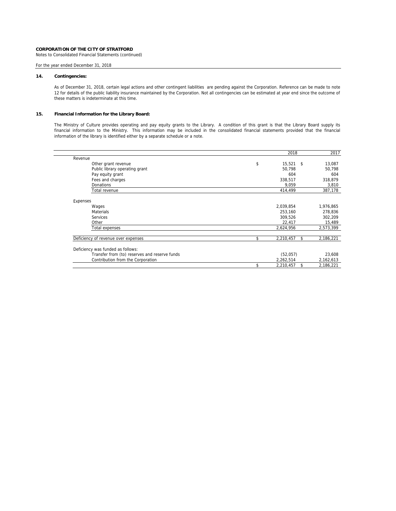Notes to Consolidated Financial Statements (continued)

### For the year ended December 31, 2018

#### **14. Contingencies:**

As of December 31, 2018, certain legal actions and other contingent liabilities are pending against the Corporation. Reference can be made to note 12 for details of the public liability insurance maintained by the Corporation. Not all contingencies can be estimated at year end since the outcome of these matters is indeterminate at this time.

### **15. Financial Information for the Library Board:**

The Ministry of Culture provides operating and pay equity grants to the Library. A condition of this grant is that the Library Board supply its financial information to the Ministry. This information may be included in the consolidated financial statements provided that the financial information of the library is identified either by a separate schedule or a note.

|                                               | 2018              | 2017            |
|-----------------------------------------------|-------------------|-----------------|
| Revenue                                       |                   |                 |
| Other grant revenue                           | \$<br>$15.521$ \$ | 13,087          |
| Public library operating grant                | 50.798            | 50,798          |
| Pay equity grant                              | 604               | 604             |
| Fees and charges                              | 338,517           | 318,879         |
| <b>Donations</b>                              | 9,059             | 3,810           |
| Total revenue                                 | 414,499           | 387,178         |
| Expenses                                      |                   |                 |
| Wages                                         | 2,039,854         | 1,976,865       |
| <b>Materials</b>                              | 253,160           | 278,836         |
| Services                                      | 309.526           | 302,209         |
| Other                                         | 22,417            | 15,489          |
| Total expenses                                | 2,624,956         | 2,573,399       |
| Deficiency of revenue over expenses           | \$<br>2,210,457   | \$<br>2,186,221 |
|                                               |                   |                 |
| Deficiency was funded as follows:             |                   |                 |
| Transfer from (to) reserves and reserve funds | (52,057)          | 23,608          |
| Contribution from the Corporation             | 2,262,514         | 2,162,613       |
|                                               | \$<br>2,210,457   | \$<br>2,186,221 |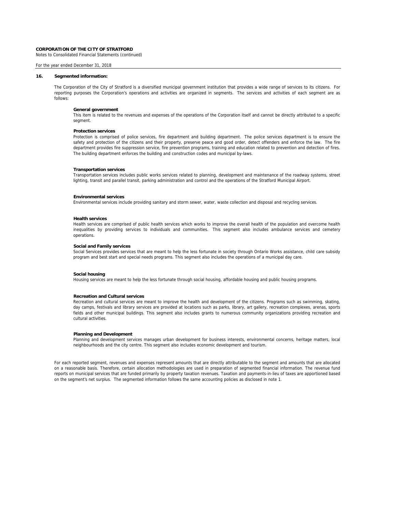Notes to Consolidated Financial Statements (continued)

#### For the year ended December 31, 2018

#### **16. Segmented information:**

The Corporation of the City of Stratford is a diversified municipal government institution that provides a wide range of services to its citizens. For reporting purposes the Corporation's operations and activities are organized in segments. The services and activities of each segment are as follows:

#### **General government**

This item is related to the revenues and expenses of the operations of the Corporation itself and cannot be directly attributed to a specific segment.

### **Protection services**

Protection is comprised of police services, fire department and building department. The police services department is to ensure the safety and protection of the citizens and their property, preserve peace and good order, detect offenders and enforce the law. The fire department provides fire suppression service, fire prevention programs, training and education related to prevention and detection of fires. The building department enforces the building and construction codes and municipal by-laws.

#### **Transportation services**

Transportation services includes public works services related to planning, development and maintenance of the roadway systems, street lighting, transit and parallel transit, parking administration and control and the operations of the Stratford Municipal Airport.

#### **Environmental services**

Environmental services include providing sanitary and storm sewer, water, waste collection and disposal and recycling services.

#### **Health services**

Health services are comprised of public health services which works to improve the overall health of the population and overcome health inequalities by providing services to individuals and communities. This segment also includes ambulance services and cemetery operations.

#### **Social and Family services**

Social Services provides services that are meant to help the less fortunate in society through Ontario Works assistance, child care subsidy program and best start and special needs programs. This segment also includes the operations of a municipal day care.

#### **Social housing**

Housing services are meant to help the less fortunate through social housing, affordable housing and public housing programs.

#### **Recreation and Cultural services**

Recreation and cultural services are meant to improve the health and development of the citizens. Programs such as swimming, skating, day camps, festivals and library services are provided at locations such as parks, library, art gallery, recreation complexes, arenas, sports fields and other municipal buildings. This segment also includes grants to numerous community organizations providing recreation and cultural activities.

#### **Planning and Development**

Planning and development services manages urban development for business interests, environmental concerns, heritage matters, local neighbourhoods and the city centre. This segment also includes economic development and tourism.

For each reported segment, revenues and expenses represent amounts that are directly attributable to the segment and amounts that are allocated on a reasonable basis. Therefore, certain allocation methodologies are used in preparation of segmented financial information. The revenue fund reports on municipal services that are funded primarily by property taxation revenues. Taxation and payments-in-lieu of taxes are apportioned based on the segment's net surplus. The segmented information follows the same accounting policies as disclosed in note 1.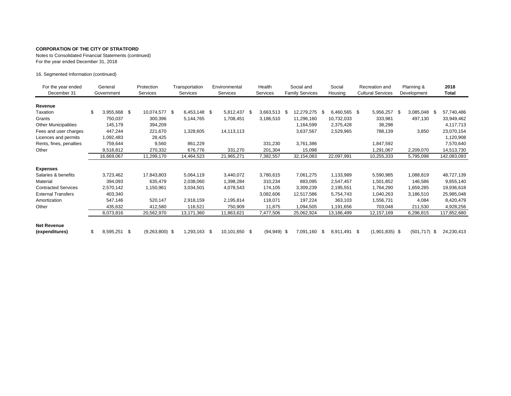Notes to Consolidated Financial Statements (continued) For the year ended December 31, 2018

16. Segmented Information (continued)

| For the year ended<br>December 31    | General<br>Government | Protection<br>Services | Transportation<br>Services |      | Environmental<br>Services |      | Health<br><b>Services</b> | Social and<br><b>Family Services</b> |      | Social<br>Housing | Recreation and<br><b>Cultural Services</b> |      | Planning &<br>Development | 2018<br><b>Total</b> |
|--------------------------------------|-----------------------|------------------------|----------------------------|------|---------------------------|------|---------------------------|--------------------------------------|------|-------------------|--------------------------------------------|------|---------------------------|----------------------|
| Revenue                              |                       |                        |                            |      |                           |      |                           |                                      |      |                   |                                            |      |                           |                      |
| Taxation                             | 3,955,668 \$          | 10,074,577 \$          | 6,453,148 \$               |      | 5,812,437                 | - \$ | 3,663,513                 | \$<br>12,279,275 \$                  |      | 6,460,565 \$      | 5,956,257                                  | - \$ | 3,085,048<br>- \$         | 57,740,486           |
| Grants                               | 750,037               | 300,396                | 5,144,765                  |      | 1,708,451                 |      | 3,186,510                 | 11,296,160                           |      | 10,732,033        | 333,981                                    |      | 497,130                   | 33,949,462           |
| <b>Other Municipalities</b>          | 145,179               | 394,209                |                            |      |                           |      |                           | 1,164,599                            |      | 2,375,428         | 38,298                                     |      |                           | 4,117,713            |
| Fees and user charges                | 447,244               | 221,670                | 1,328,605                  |      | 14,113,113                |      |                           | 3,637,567                            |      | 2,529,965         | 788,139                                    |      | 3,850                     | 23,070,154           |
| Licences and permits                 | 1,092,483             | 28,425                 |                            |      |                           |      |                           |                                      |      |                   |                                            |      |                           | 1,120,908            |
| Rents, fines, penalties              | 759,644               | 9,560                  | 861,229                    |      |                           |      | 331,230                   | 3,761,386                            |      |                   | 1,847,592                                  |      |                           | 7,570,640            |
| Other                                | 9,518,812             | 270,332                | 676,776                    |      | 331,270                   |      | 201,304                   | 15,098                               |      |                   | ,291,067                                   |      | 2,209,070                 | 14,513,730           |
|                                      | 16,669,067            | 11,299,170             | 14,464,523                 |      | 21,965,271                |      | 7,382,557                 | 32,154,083                           |      | 22,097,991        | 10,255,333                                 |      | 5,795,098                 | 142,083,093          |
| <b>Expenses</b>                      |                       |                        |                            |      |                           |      |                           |                                      |      |                   |                                            |      |                           |                      |
| Salaries & benefits                  | 3,723,462             | 17,843,803             | 5,064,119                  |      | 3,440,072                 |      | 3,780,615                 | 7,061,275                            |      | 1,133,989         | 5,590,985                                  |      | 1,088,819                 | 48,727,139           |
| Material                             | 394,093               | 635,479                | 2,038,060                  |      | 1,398,284                 |      | 310,234                   | 883,095                              |      | 2,547,457         | 1,501,852                                  |      | 146,586                   | 9,855,140            |
| <b>Contracted Services</b>           | 2,570,142             | 1,150,961              | 3,034,501                  |      | 4,078,543                 |      | 174,105                   | 3,309,239                            |      | 2,195,551         | 1,764,290                                  |      | 1,659,285                 | 19,936,618           |
| <b>External Transfers</b>            | 403,340               |                        |                            |      |                           |      | 3,082,606                 | 12,517,586                           |      | 5,754,743         | 1,040,263                                  |      | 3,186,510                 | 25,985,048           |
| Amortization                         | 547,146               | 520,147                | 2,918,159                  |      | 2,195,814                 |      | 118,071                   | 197,224                              |      | 363,103           | 1,556,731                                  |      | 4,084                     | 8,420,479            |
| Other                                | 435,632               | 412,580                | 116,521                    |      | 750,909                   |      | 11,875                    | 1,094,505                            |      | 1,191,656         | 703,048                                    |      | 211,530                   | 4,928,256            |
|                                      | 8,073,816             | 20,562,970             | 13,171,360                 |      | 11,863,621                |      | 7,477,506                 | 25,062,924                           |      | 13,186,499        | 12,157,169                                 |      | 6,296,815                 | 117,852,680          |
| <b>Net Revenue</b><br>(expenditures) | 8,595,251 \$          | $(9,263,800)$ \$       | 1,293,163                  | - \$ | 10,101,650                | - \$ | $(94, 949)$ \$            | 7,091,160                            | - \$ | 8,911,491 \$      | $(1,901,835)$ \$                           |      | $(501, 717)$ \$           | 24,230,413           |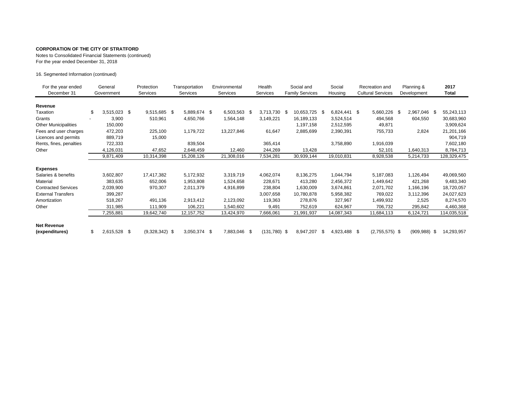Notes to Consolidated Financial Statements (continued) For the year ended December 31, 2018

16. Segmented Information (continued)

| For the year ended<br>December 31 | General<br>Government | Protection<br>Services | Transportation<br><b>Services</b> | Environmental<br>Services |      | Health<br>Services | Social and<br><b>Family Services</b> |      | Social<br>Housing | Recreation and<br><b>Cultural Services</b> |      | Planning &<br>Development | 2017<br><b>Total</b> |
|-----------------------------------|-----------------------|------------------------|-----------------------------------|---------------------------|------|--------------------|--------------------------------------|------|-------------------|--------------------------------------------|------|---------------------------|----------------------|
| Revenue                           |                       |                        |                                   |                           |      |                    |                                      |      |                   |                                            |      |                           |                      |
| Taxation                          | 3,515,023 \$          | 9,515,685 \$           | 5,889,674 \$                      | 6,503,563                 | - \$ | 3,713,730 \$       | 10,653,725 \$                        |      | 6,824,441 \$      | 5,660,226                                  | - \$ | 2,967,046<br>S            | 55,243,113           |
| Grants                            | 3,900                 | 510,961                | 4,650,766                         | 1,564,148                 |      | 3,149,221          | 16,189,133                           |      | 3,524,514         | 494,568                                    |      | 604,550                   | 30,683,960           |
| <b>Other Municipalities</b>       | 150,000               |                        |                                   |                           |      |                    | 1,197,158                            |      | 2,512,595         | 49,871                                     |      |                           | 3,909,624            |
| Fees and user charges             | 472,203               | 225,100                | 1,179,722                         | 13,227,846                |      | 61,647             | 2,885,699                            |      | 2,390,391         | 755,733                                    |      | 2,824                     | 21,201,166           |
| Licences and permits              | 889,719               | 15,000                 |                                   |                           |      |                    |                                      |      |                   |                                            |      |                           | 904,719              |
| Rents, fines, penalties           | 722,333               |                        | 839,504                           |                           |      | 365,414            |                                      |      | 3,758,890         | 1,916,039                                  |      |                           | 7,602,180            |
| Other                             | 4,126,031             | 47,652                 | 2,648,459                         | 12,460                    |      | 244,269            | 13,428                               |      |                   | 52,101                                     |      | 1,640,313                 | 8,784,713            |
|                                   | 9,871,409             | 10,314,398             | 15,208,126                        | 21,308,016                |      | 7,534,281          | 30,939,144                           |      | 19,010,831        | 8,928,538                                  |      | 5,214,733                 | 128,329,475          |
| <b>Expenses</b>                   |                       |                        |                                   |                           |      |                    |                                      |      |                   |                                            |      |                           |                      |
| Salaries & benefits               | 3,602,807             | 17,417,382             | 5,172,932                         | 3,319,719                 |      | 4,062,074          | 8,136,275                            |      | 1,044,794         | 5,187,083                                  |      | 1,126,494                 | 49,069,560           |
| Material                          | 383,635               | 652,006                | 1,953,808                         | 1,524,658                 |      | 228,671            | 413,280                              |      | 2,456,372         | 1,449,642                                  |      | 421,268                   | 9,483,340            |
| <b>Contracted Services</b>        | 2,039,900             | 970,307                | 2,011,379                         | 4,916,899                 |      | 238,804            | 1,630,009                            |      | 3,674,861         | 2,071,702                                  |      | 1,166,196                 | 18,720,057           |
| <b>External Transfers</b>         | 399,287               |                        |                                   |                           |      | 3,007,658          | 10,780,878                           |      | 5,958,382         | 769,022                                    |      | 3,112,396                 | 24,027,623           |
| Amortization                      | 518,267               | 491,136                | 2,913,412                         | 2,123,092                 |      | 119,363            | 278,876                              |      | 327,967           | 1,499,932                                  |      | 2,525                     | 8,274,570            |
| Other                             | 311,985               | 111,909                | 106,221                           | 1,540,602                 |      | 9,491              | 752,619                              |      | 624,967           | 706,732                                    |      | 295,842                   | 4,460,368            |
|                                   | 7,255,881             | 19,642,740             | 12, 157, 752                      | 13,424,970                |      | 7,666,061          | 21,991,937                           |      | 14,087,343        | 11,684,113                                 |      | 6,124,721                 | 114,035,518          |
| <b>Net Revenue</b>                |                       |                        |                                   |                           |      |                    |                                      |      |                   |                                            |      |                           |                      |
| (expenditures)                    | 2,615,528 \$          | $(9,328,342)$ \$       | 3,050,374 \$                      | 7,883,046                 | - \$ | $(131,780)$ \$     | 8,947,207                            | - \$ | 4,923,488 \$      | $(2,755,575)$ \$                           |      | $(909, 988)$ \$           | 14,293,957           |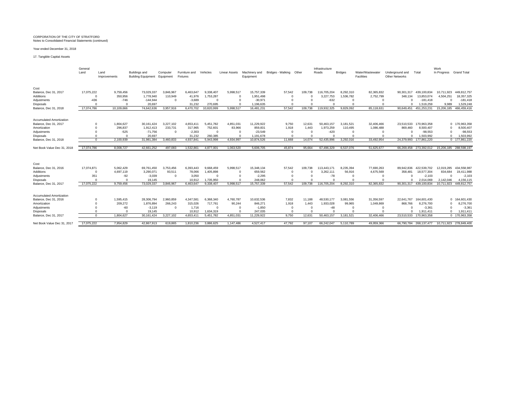#### Notes to Consolidated Financial Statements (continued)

### Year ended December 31, 2018

17. Tangible Capital Assets

|                                 | General    |                       |                                            |                       |                           |            |                      |                            |                   |                      | Infrastructure |                |                                |                                          |                        | Work        |                        |
|---------------------------------|------------|-----------------------|--------------------------------------------|-----------------------|---------------------------|------------|----------------------|----------------------------|-------------------|----------------------|----------------|----------------|--------------------------------|------------------------------------------|------------------------|-------------|------------------------|
|                                 | Land       | Land<br>Improvements  | Buildings and<br><b>Building Equipment</b> | Computer<br>Equipment | Furniture and<br>Fixtures | Vehicles   | <b>Linear Assets</b> | Machinery and<br>Equipment | Bridges - Walking | Other                | Roads          | <b>Bridges</b> | Water/Wastewater<br>Facilities | Underground and<br><b>Other Networks</b> | Total                  | In Progress | <b>Grand Total</b>     |
| Cost                            |            |                       |                                            |                       |                           |            |                      |                            |                   |                      |                |                |                                |                                          |                        |             |                        |
| Balance, Dec 31, 2017           | 17,075,222 | 9.759.456             | 73,029,337                                 | 3.846.967             | 6.463.647                 | 9.338.407  | 5.998.517            | 15,757,339                 | 57.542            | 109.738              | 116,705,204    | 8.292.310      | 82.365.832                     | 90.301.317                               | 439.100.834            | 10.711.923  | 449,812,757            |
| <b>Additions</b>                |            | 350.956<br>$\Omega$   | 1,778,940                                  | 110,949               | 41.976                    | 1,753,287  |                      | 1.951.498<br>$\Omega$      |                   |                      | 3,227,753      | 1,536,782      | 2,752,799                      | 348.134                                  | 13.853.074             | 4.504.251   | 18.357.325             |
| Adjustments                     | $-436$     | $-746$                | $-144,944$                                 | $\Omega$              | $-3,689$                  | $\Omega$   |                      | $-30,971$<br>$\Omega$      |                   |                      | $-632$         |                | $\Omega$                       |                                          | $-181,418$             | $\Omega$    | $-181,418$             |
| <b>Disposals</b>                |            | $\Omega$              | 20.697<br>$\Omega$                         |                       | 31.232                    | 270.695    |                      | $\Omega$<br>1.196.635      |                   |                      |                |                | $\Omega$                       |                                          | 1.519.259              | 9.989       | 1.529.248              |
| Balance, Dec 31, 2018           | 17,074,786 | 10.109.666            | 74,642,636                                 | 3,957,916             | 6.470.702                 | 10.820.999 | 5.998.517            | 16,481,231                 | 57,542            | 109.738              | 119.932.325    | 9.829.092      | 85.118.631                     | 90.649.451                               | 451.253.231            | 15,206,185  | 466,459,416            |
|                                 |            |                       |                                            |                       |                           |            |                      |                            |                   |                      |                |                |                                |                                          |                        |             |                        |
| <b>Accumulated Amortization</b> |            |                       |                                            |                       |                           |            |                      |                            |                   |                      |                |                |                                |                                          |                        |             |                        |
| Balance, Dec 31, 2017           |            | 1.804.627<br>$\Omega$ | 30.161.424                                 | 3,227,102             | 4,653,411                 | 5,451,782  | 4,851,031            | 11,229,922                 | 9,750             | 12,631               | 50,463,157     | 3,181,521      | 32,406,466                     | 23.510.533                               | 170.963.358            |             | 0 170,963,358          |
| Amortization                    |            | 296,837               | 1.912.413                                  | 233,731               | 317.965                   | 752,601    | 83.966               | 859,831                    | 1.918             | 1.443                | 1,973,259      | 110.495        | 1.086.488                      | 869,460                                  | 8.500.407              | $\Omega$    | 8,500,407              |
| Adjustments                     |            | $-525$                | $-71,756$                                  | $\Omega$              | $-2,303$                  | $\Omega$   |                      | $-23,549$<br>$\Omega$      |                   | $\Omega$<br>$\Omega$ | $-420$         |                | $\Omega$                       | -C                                       | $-98,553$              | $\Omega$    | $-98,553$              |
| Disposals                       |            | $\Omega$              | 20,697<br>$\Omega$                         |                       | 31.232                    | 260,385    |                      | 1.191.678<br>$\Omega$      |                   | $\Omega$<br>$\Omega$ | $\Omega$       |                | $\Omega$                       | $\Omega$                                 | 1.503.992              | $\Omega$    | 1,503,992              |
| Balance, Dec 31, 2018           |            | 2.100.939<br>$\Omega$ | 31.981.384                                 | 3,460,833             | 4.937.841                 | 5,943,998  | 4,934,997            | 10,874,526                 | 11.668            | 14.074               | 52.435.996     | 3,292,016      | 33,492,954                     | 24.379.993                               | 177.861.220            |             | 0 177,861,220          |
|                                 |            |                       |                                            |                       |                           |            |                      |                            |                   |                      |                |                |                                |                                          |                        |             |                        |
| Net Book Value Dec 31, 2018     | 17.074.786 | 8.008.727             | 42.661.252                                 | 497.083               | 1.532.861                 | 4.877.001  | 1.063.520            | 5.606.705                  | 45.874            | 95.664               | 67,496,329     | 6.537.076      | 51.625.677                     |                                          | 66.269.458 273.392.012 |             | 15.206.185 288.598.197 |
|                                 |            |                       |                                            |                       |                           |            |                      |                            |                   |                      |                |                |                                |                                          |                        |             |                        |
|                                 |            |                       |                                            |                       |                           |            |                      |                            |                   |                      |                |                |                                |                                          |                        |             |                        |
| Cost                            |            |                       |                                            |                       |                           |            |                      |                            |                   |                      |                |                |                                |                                          |                        |             |                        |
| Balance, Dec 31, 2016           | 17.074.871 | 5.062.429             | 69.761.450                                 | 3.753.456             | 6.393.443                 | 9.668.459  | 5.998.517            | 15.348.134                 | 57.542            | 109.738              | 113.443.171    | 8.235.394      | 77,690,263                     | 89.942.836                               | 422.539.702            | 12.019.285  | 434,558,987            |
| Additions                       |            | 4.697.119<br>$\Omega$ | 3,290,071                                  | 93,511                | 78,066                    | 1,405,898  |                      | 659,562<br>$\Omega$        |                   |                      | 3,262,111      | 56,916         | 4,675,569                      | 358,481                                  | 18.577.304             | 834.684     | 19,411,988             |
| Adiustments                     | 351        | $-92$                 | $-3.039$                                   | $\Omega$              | 3.050                     | $\Omega$   |                      | $-2.295$<br>$\Omega$       |                   |                      | $-78$          |                | $\Omega$                       |                                          | $-2.103$               | $\Omega$    | $-2.103$               |
| <b>Disposals</b>                |            | $\Omega$              | 19.145<br>$\Omega$                         |                       | 10.912                    | 1,735,950  |                      | 248,062<br>$\Omega$        |                   |                      | $\Omega$       |                | $\Omega$                       |                                          | 2.014.069              | 2.142.046   | 4,156,115              |
| Balance, Dec 31, 2017           | 17,075,222 | 9.759.456             | 73.029.337                                 | 3.846.967             | 6.463.647                 | 9.338.407  | 5.998.517            | 15,757,339                 | 57,542            | 109.738              | 116,705,204    | 8.292.310      | 82.365.832                     | 90,301,317                               | 439.100.834            | 10.711.923  | 449.812.757            |
|                                 |            |                       |                                            |                       |                           |            |                      |                            |                   |                      |                |                |                                |                                          |                        |             |                        |
| <b>Accumulated Amortization</b> |            |                       |                                            |                       |                           |            |                      |                            |                   |                      |                |                |                                |                                          |                        |             |                        |
| Balance, Dec 31, 2016           |            | 1,595,415<br>$\Omega$ | 28,306,794                                 | 2,960,859             | 4,347,581                 | 6,368,340  | 4,760,787            | 10,632,536                 | 7,832             | 11,188               | 48,530,177     | 3,081,556      | 31,356,597                     | 22.641.767                               | 164,601.430            |             | 0 164,601,430          |
| Amortization                    |            | 209,272               | 1,876,894                                  | 266,243               | 315,026                   | 717,761    | 90,244               | 846,271                    | 1.918             | 1.443                | 1,933,028      | 99,965         | 1,049,869                      | 868.766                                  | 8,276,700              | $\Omega$    | 8,276,700              |
| Adjustments                     |            | $-60$                 | $-3,119$                                   | $\Omega$              | 1.716                     | $\Omega$   |                      | $-1.850$<br>$\Omega$       |                   | $\Omega$<br>$\Omega$ | $-48$          |                | $\Omega$                       | $\Omega$<br>$\Omega$                     | $-3,361$               | $\Omega$    | $-3,361$               |
| <b>Disposals</b>                |            | $\Omega$              | $\Omega$<br>19,145                         |                       | 10.912                    | 1,634,319  |                      | 247,035<br>$\Omega$        |                   | $\Omega$<br>$\Omega$ | $\Omega$       |                | $\Omega$                       | $\Omega$                                 | 1.911.411              | $\Omega$    | 1,911,411              |
| Balance, Dec 31, 2017           |            | 1.804.627<br>$\Omega$ | 30.161.424                                 | 3,227,102             | 4.653.411                 | 5.451.782  | 4.851.031            | 11,229,922                 | 9.750             | 12.631               | 50.463.157     | 3,181,521      | 32,406,466                     | 23,510,533                               | 170.963.358            |             | 0 170,963,358          |
|                                 | 17.075.222 | 7.954.829             | 42.867.913                                 | 619,865               | 1.810.236                 | 3.886.625  | 1.147.486            | 4.527.417                  | 47.792            | 97.107               | 66.242.047     | 5.110.789      | 49.959.366                     |                                          | 66.790.784 268.137.477 |             | 10.711.923 278.849.400 |
| Net Book Value Dec 31, 2017     |            |                       |                                            |                       |                           |            |                      |                            |                   |                      |                |                |                                |                                          |                        |             |                        |